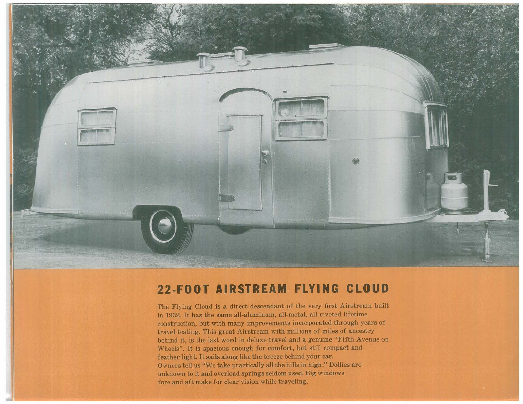

## **22·FOOT AIRSTREAM FLYING CLOUD**

The Flying Cloud is a direct descendant of the very first Airstream built in 1932. It has the same all-aluminum, all-metal, all-riveted lifetime construction, but with many improvements incorporated through years of travel testing. This-great Airstream with millions of miles of ancestry behind it, is the last word in deluxe travel and a genuine "Fifth Avenue on Wheels". It is spacious enough for comfort, but still compact and feather light. It sails along like the breeze behind your car. Owners tell us "We take practically all the hills in high." Dollies are unknown to it and overload springs seldom used. Big windows fore and aft make for clear vision while traveling.